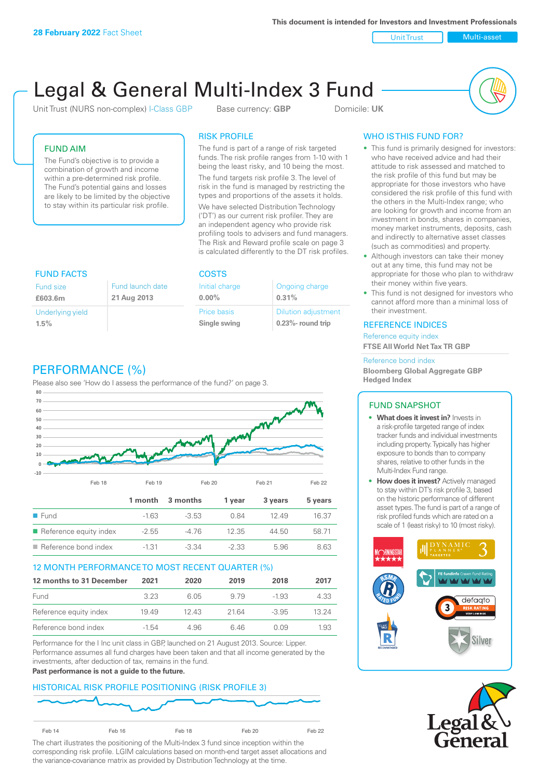**This document is intended for Investors and Investment Professionals**

Unit Trust Nulti-asset

# Legal & General Multi-Index 3 Fund

Unit Trust (NURS non-complex) I-Class GBP Base currency: **GBP** Domicile: UK



## FUND AIM

The Fund's objective is to provide a combination of growth and income within a pre-determined risk profile. The Fund's potential gains and losses are likely to be limited by the objective to stay within its particular risk profile.

## RISK PROFILE

The fund is part of a range of risk targeted funds. The risk profile ranges from 1-10 with 1 being the least risky, and 10 being the most.

The fund targets risk profile 3. The level of risk in the fund is managed by restricting the types and proportions of the assets it holds. We have selected Distribution Technology ('DT') as our current risk profiler. They are an independent agency who provide risk profiling tools to advisers and fund managers. The Risk and Reward profile scale on page 3 is calculated differently to the DT risk profiles.

| <b>FUND FACTS</b>        |                  | <b>COSTS</b>                |                                                     |  |
|--------------------------|------------------|-----------------------------|-----------------------------------------------------|--|
| <b>Fund size</b>         | Fund launch date | Initial charge              | Ongoing charge                                      |  |
| £603.6m                  | 21 Aug 2013      | $0.00\%$                    | 0.31%                                               |  |
| Underlying yield<br>1.5% |                  | Price basis<br>Single swing | <b>Dilution adjustment</b><br>$0.23\%$ - round trip |  |
|                          |                  |                             |                                                     |  |

# PERFORMANCE (%)

Please also see 'How do I assess the performance of the fund?' on page 3.



## 12 MONTH PERFORMANCE TO MOST RECENT QUARTER (%)

| 12 months to 31 December | 2021    | 2020  | 2019  | 2018    | 2017  |
|--------------------------|---------|-------|-------|---------|-------|
| Fund                     | 323     | 6.05  | 9.79  | -1.93   | 4.33  |
| Reference equity index   | 1949    | 12.43 | 21.64 | $-3.95$ | 13 24 |
| Reference bond index     | $-1.54$ | 4.96  | 646   | O 0.9   | 1.93  |

Performance for the I Inc unit class in GBP, launched on 21 August 2013. Source: Lipper. Performance assumes all fund charges have been taken and that all income generated by the investments, after deduction of tax, remains in the fund.

#### **Past performance is not a guide to the future.**

## HISTORICAL RISK PROFILE POSITIONING (RISK PROFILE 3)



The chart illustrates the positioning of the Multi-Index 3 fund since inception within the corresponding risk profile. LGIM calculations based on month-end target asset allocations and the variance-covariance matrix as provided by Distribution Technology at the time.

## WHO IS THIS FUND FOR?

- This fund is primarily designed for investors: who have received advice and had their attitude to risk assessed and matched to the risk profile of this fund but may be appropriate for those investors who have considered the risk profile of this fund with the others in the Multi-Index range; who are looking for growth and income from an investment in bonds, shares in companies, money market instruments, deposits, cash and indirectly to alternative asset classes (such as commodities) and property.
- Although investors can take their money out at any time, this fund may not be appropriate for those who plan to withdraw their money within five years.
- This fund is not designed for investors who cannot afford more than a minimal loss of their investment.

## REFERENCE INDICES

Reference equity index **FTSE All World Net Tax TR GBP**

#### Reference bond index

**Bloomberg Global Aggregate GBP Hedged Index**

## FUND SNAPSHOT

- **• What does it invest in?** Invests in a risk-profile targeted range of index tracker funds and individual investments including property. Typically has higher exposure to bonds than to company shares, relative to other funds in the Multi-Index Fund range.
- **• How does it invest?** Actively managed to stay within DT's risk profile 3, based on the historic performance of different asset types. The fund is part of a range of risk profiled funds which are rated on a scale of 1 (least risky) to 10 (most risky).



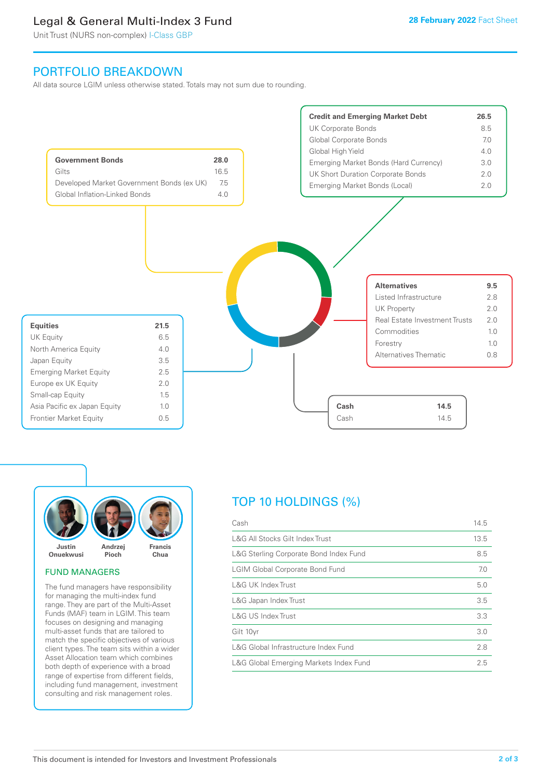# Legal & General Multi-Index 3 Fund

Unit Trust (NURS non-complex) I-Class GBP

# PORTFOLIO BREAKDOWN

All data source LGIM unless otherwise stated. Totals may not sum due to rounding.



![](_page_1_Picture_6.jpeg)

#### FUND MANAGERS

The fund managers have responsibility for managing the multi-index fund range. They are part of the Multi-Asset Funds (MAF) team in LGIM. This team focuses on designing and managing multi-asset funds that are tailored to match the specific objectives of various client types. The team sits within a wider Asset Allocation team which combines both depth of experience with a broad range of expertise from different fields, including fund management, investment consulting and risk management roles.

# TOP 10 HOLDINGS (%)

| Cash                                   | 14.5 |
|----------------------------------------|------|
| L&G All Stocks Gilt Index Trust        | 13.5 |
| L&G Sterling Corporate Bond Index Fund | 8.5  |
| <b>LGIM Global Corporate Bond Fund</b> | 7.0  |
| L&G UK Index Trust                     | 5.0  |
| L&G Japan Index Trust                  | 3.5  |
| L&G US Index Trust                     | 3.3  |
| Gilt 10yr                              | 3.0  |
| L&G Global Infrastructure Index Fund   | 2.8  |
| L&G Global Emerging Markets Index Fund | 2.5  |